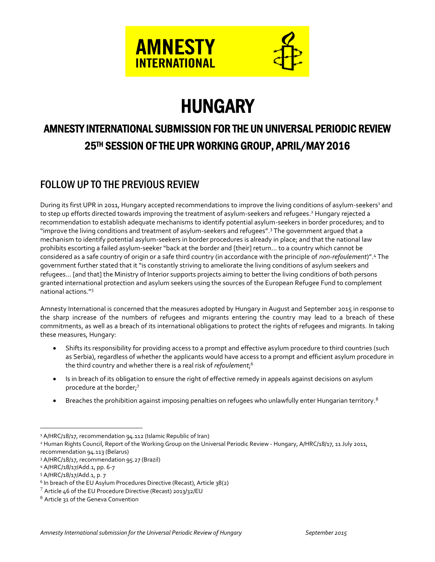

# **HUNGARY**

# AMNESTY INTERNATIONAL SUBMISSION FOR THE UN UNIVERSAL PERIODIC REVIEW 25TH SESSION OF THE UPR WORKING GROUP, APRIL/MAY 2016

# FOLLOW UP TO THE PREVIOUS REVIEW

During its first UPR in 2011, Hungary accepted recommendations to improve the living conditions of asylum-seekers<sup>1</sup> and to step up efforts directed towards improving the treatment of asylum-seekers and refugees.<sup>2</sup> Hungary rejected a recommendation to establish adequate mechanisms to identify potential asylum-seekers in border procedures; and to "improve the living conditions and treatment of asylum-seekers and refugees". <sup>3</sup> The government argued that a mechanism to identify potential asylum-seekers in border procedures is already in place; and that the national law prohibits escorting a failed asylum-seeker "back at the border and [their] return… to a country which cannot be considered as a safe country of origin or a safe third country (in accordance with the principle of *non-refoulement*)". <sup>4</sup> The government further stated that it "is constantly striving to ameliorate the living conditions of asylum seekers and refugees… [and that] the Ministry of Interior supports projects aiming to better the living conditions of both persons granted international protection and asylum seekers using the sources of the European Refugee Fund to complement national actions."<sup>5</sup>

Amnesty International is concerned that the measures adopted by Hungary in August and September 2015 in response to the sharp increase of the numbers of refugees and migrants entering the country may lead to a breach of these commitments, as well as a breach of its international obligations to protect the rights of refugees and migrants. In taking these measures, Hungary:

- Shifts its responsibility for providing access to a prompt and effective asylum procedure to third countries (such as Serbia), regardless of whether the applicants would have access to a prompt and efficient asylum procedure in the third country and whether there is a real risk of *refoulement*; 6
- Is in breach of its obligation to ensure the right of effective remedy in appeals against decisions on asylum procedure at the border;<sup>7</sup>
- **Breaches the prohibition against imposing penalties on refugees who unlawfully enter Hungarian territory.**<sup>8</sup>

<sup>&</sup>lt;sup>1</sup> A/HRC/18/17, recommendation 94.112 (Islamic Republic of Iran)

<sup>&</sup>lt;sup>2</sup> Human Rights Council, Report of the Working Group on the Universal Periodic Review - Hungary, A/HRC/18/17, 11 July 2011, recommendation 94.113 (Belarus)

<sup>3</sup> A/HRC/18/17, recommendation 95.27 (Brazil)

<sup>4</sup> A/HRC/18/17/Add.1, pp. 6-7

<sup>5</sup> A/HRC/18/17/Add.1, p. 7

 $^6$  In breach of the EU Asylum Procedures Directive (Recast), Article 38(2)

 $7$  Article 46 of the EU Procedure Directive (Recast) 2013/32/EU

<sup>8</sup> Article 31 of the Geneva Convention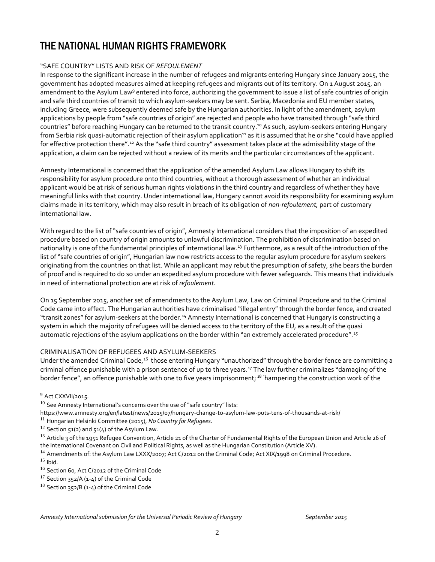## THE NATIONAL HUMAN RIGHTS FRAMEWORK

## "SAFE COUNTRY" LISTS AND RISK OF *REFOULEMENT*

In response to the significant increase in the number of refugees and migrants entering Hungary since January 2015, the government has adopted measures aimed at keeping refugees and migrants out of its territory. On 1 August 2015, an amendment to the Asylum Law<sup>9</sup> entered into force, authorizing the government to issue a list of safe countries of origin and safe third countries of transit to which asylum-seekers may be sent. Serbia, Macedonia and EU member states, including Greece, were subsequently deemed safe by the Hungarian authorities. In light of the amendment, asylum applications by people from "safe countries of origin" are rejected and people who have transited through "safe third countries" before reaching Hungary can be returned to the transit country. <sup>10</sup> As such, asylum-seekers entering Hungary from Serbia risk quasi-automatic rejection of their asylum application<sup>11</sup> as it is assumed that he or she "could have applied for effective protection there".<sup>12</sup> As the "safe third country" assessment takes place at the admissibility stage of the application, a claim can be rejected without a review of its merits and the particular circumstances of the applicant.

Amnesty International is concerned that the application of the amended Asylum Law allows Hungary to shift its responsibility for asylum procedure onto third countries, without a thorough assessment of whether an individual applicant would be at risk of serious human rights violations in the third country and regardless of whether they have meaningful links with that country. Under international law, Hungary cannot avoid its responsibility for examining asylum claims made in its territory, which may also result in breach of its obligation of *non-refoulement,* part of customary international law.

With regard to the list of "safe countries of origin", Amnesty International considers that the imposition of an expedited procedure based on country of origin amounts to unlawful discrimination. The prohibition of discrimination based on nationality is one of the fundamental principles of international law.<sup>13</sup> Furthermore, as a result of the introduction of the list of "safe countries of origin", Hungarian law now restricts access to the regular asylum procedure for asylum seekers originating from the countries on that list. While an applicant may rebut the presumption of safety, s/he bears the burden of proof and is required to do so under an expedited asylum procedure with fewer safeguards. This means that individuals in need of international protection are at risk of *refoulement*.

On 15 September 2015, another set of amendments to the Asylum Law, Law on Criminal Procedure and to the Criminal Code came into effect. The Hungarian authorities have criminalised "illegal entry" through the border fence, and created "transit zones" for asylum-seekers at the border.<sup>14</sup> Amnesty International is concerned that Hungary is constructing a system in which the majority of refugees will be denied access to the territory of the EU, as a result of the quasi automatic rejections of the asylum applications on the border within "an extremely accelerated procedure".<sup>15</sup>

## CRIMINALISATION OF REFUGEES AND ASYLUM-SEEKERS

Under the amended Criminal Code,<sup>16</sup> those entering Hungary "unauthorized" through the border fence are committing a criminal offence punishable with a prison sentence of up to three years.<sup>17</sup> The law further criminalizes "damaging of the border fence", an offence punishable with one to five years imprisonment; <sup>18 "</sup>hampering the construction work of the

<sup>9</sup> Act CXXVII/2015.

 $10$  See Amnesty International's concerns over the use of "safe country" lists:

<https://www.amnesty.org/en/latest/news/2015/07/hungary-change-to-asylum-law-puts-tens-of-thousands-at-risk/>

<sup>11</sup> Hungarian Helsinki Committee (2015), *No Country for Refugees*.

 $12$  Section 51(2) and 51(4) of the Asylum Law.

 $^{13}$  Article 3 of the 1951 Refugee Convention, Article 21 of the Charter of Fundamental Rights of the European Union and Article 26 of the International Covenant on Civil and Political Rights, as well as the Hungarian Constitution (Article XV).

<sup>&</sup>lt;sup>14</sup> Amendments of: the Asylum Law LXXX/2007; Act C/2012 on the Criminal Code; Act XIX/1998 on Criminal Procedure.  $15$  Ibid.

<sup>16</sup> Section 60, Act C/2012 of the Criminal Code

 $17$  Section 352/A (1-4) of the Criminal Code

<sup>&</sup>lt;sup>18</sup> Section 352/B (1-4) of the Criminal Code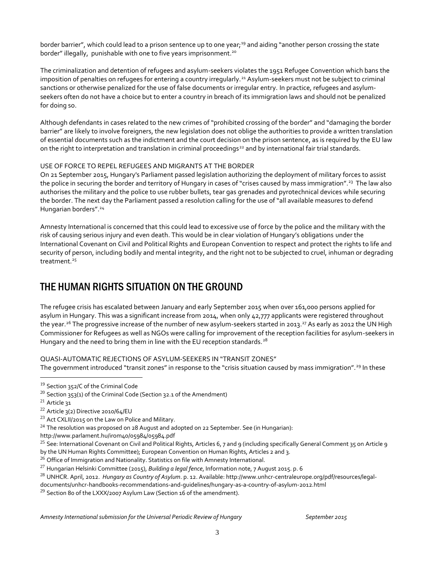border barrier", which could lead to a prison sentence up to one year;<sup>19</sup> and aiding "another person crossing the state border" illegally, punishable with one to five years imprisonment.<sup>20</sup>

The criminalization and detention of refugees and asylum-seekers violates the 1951 Refugee Convention which bans the imposition of penalties on refugees for entering a country irregularly.<sup>21</sup> Asylum-seekers must not be subject to criminal sanctions or otherwise penalized for the use of false documents or irregular entry. In practice, refugees and asylumseekers often do not have a choice but to enter a country in breach of its immigration laws and should not be penalized for doing so.

Although defendants in cases related to the new crimes of "prohibited crossing of the border" and "damaging the border barrier" are likely to involve foreigners, the new legislation does not oblige the authorities to provide a written translation of essential documents such as the indictment and the court decision on the prison sentence, as is required by the EU law on the right to interpretation and translation in criminal proceedings<sup>22</sup> and by international fair trial standards.

#### USE OF FORCE TO REPEL REFUGEES AND MIGRANTS AT THE BORDER

On 21 September 2015, Hungary's Parliament passed legislation authorizing the deployment of military forces to assist the police in securing the border and territory of Hungary in cases of "crises caused by mass immigration".<sup>23</sup> The law also authorises the military and the police to use rubber bullets, tear gas grenades and pyrotechnical devices while securing the border. The next day the Parliament passed a resolution calling for the use of "all available measures to defend Hungarian borders".<sup>24</sup>

Amnesty International is concerned that this could lead to excessive use of force by the police and the military with the risk of causing serious injury and even death. This would be in clear violation of Hungary's obligations under the International Covenant on Civil and Political Rights and European Convention to respect and protect the rights to life and security of person, including bodily and mental integrity, and the right not to be subjected to cruel, inhuman or degrading treatment $25$ 

## THE HUMAN RIGHTS SITUATION ON THE GROUND

The refugee crisis has escalated between January and early September 2015 when over 161,000 persons applied for asylum in Hungary. This was a significant increase from 2014, when only 42,777 applicants were registered throughout the year.<sup>26</sup> The progressive increase of the number of new asylum-seekers started in 2013.<sup>27</sup> As early as 2012 the UN High Commissioner for Refugees as well as NGOs were calling for improvement of the reception facilities for asylum-seekers in Hungary and the need to bring them in line with the EU reception standards.<sup>28</sup>

### QUASI-AUTOMATIC REJECTIONS OF ASYLUM-SEEKERS IN "TRANSIT ZONES"

The government introduced "transit zones" in response to the "crisis situation caused by mass immigration".<sup>29</sup> In these

<sup>&</sup>lt;sup>19</sup> Section 352/C of the Criminal Code

<sup>&</sup>lt;sup>20</sup> Section 353(1) of the Criminal Code (Section 32.1 of the Amendment)

 $21$  Article 31

<sup>22</sup> Article 3(2) Directive 2010/64/EU

<sup>&</sup>lt;sup>23</sup> Act CXLII/2015 on the Law on Police and Military.

<sup>&</sup>lt;sup>24</sup> The resolution was proposed on 28 August and adopted on 22 September. See (in Hungarian):

<http://www.parlament.hu/irom40/05984/05984.pdf>

<sup>&</sup>lt;sup>25</sup> See: International Covenant on Civil and Political Rights, Articles 6, 7 and 9 (including specifically General Comment 35 on Article 9 by the UN Human Rights Committee); European Convention on Human Rights, Articles 2 and 3.

 $26$  Office of Immigration and Nationality. Statistics on file with Amnesty International.

<sup>27</sup> Hungarian Helsinki Committee (2015), *Building a legal fence*, Information note, 7 August 2015. p. 6

<sup>28</sup> UNHCR. April, 2012. *Hungary as Country of Asylum*. p. 12. Available[: http://www.unhcr-centraleurope.org/pdf/resources/legal-](http://www.unhcr-centraleurope.org/pdf/resources/legal-documents/unhcr-handbooks-recommendations-and-guidelines/hungary-as-a-country-of-asylum-2012.html)

[documents/unhcr-handbooks-recommendations-and-guidelines/hungary-as-a-country-of-asylum-2012.html](http://www.unhcr-centraleurope.org/pdf/resources/legal-documents/unhcr-handbooks-recommendations-and-guidelines/hungary-as-a-country-of-asylum-2012.html)

<sup>&</sup>lt;sup>29</sup> Section 80 of the LXXX/2007 Asylum Law (Section 16 of the amendment).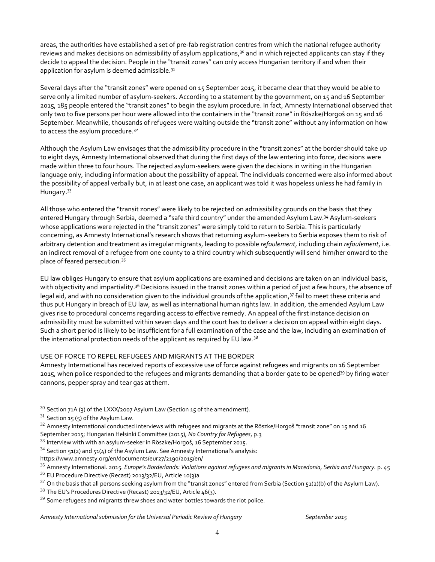areas, the authorities have established a set of pre-fab registration centres from which the national refugee authority reviews and makes decisions on admissibility of asylum applications,<sup>30</sup> and in which rejected applicants can stay if they decide to appeal the decision. People in the "transit zones" can only access Hungarian territory if and when their application for asylum is deemed admissible.<sup>31</sup>

Several days after the "transit zones" were opened on 15 September 2015, it became clear that they would be able to serve only a limited number of asylum-seekers. According to a statement by the government, on 15 and 16 September 2015, 185 people entered the "transit zones" to begin the asylum procedure. In fact, Amnesty International observed that only two to five persons per hour were allowed into the containers in the "transit zone" in Röszke/Horgoš on 15 and 16 September. Meanwhile, thousands of refugees were waiting outside the "transit zone" without any information on how to access the asylum procedure.<sup>32</sup>

Although the Asylum Law envisages that the admissibility procedure in the "transit zones" at the border should take up to eight days, Amnesty International observed that during the first days of the law entering into force, decisions were made within three to four hours. The rejected asylum-seekers were given the decisions in writing in the Hungarian language only, including information about the possibility of appeal. The individuals concerned were also informed about the possibility of appeal verbally but, in at least one case, an applicant was told it was hopeless unless he had family in Hungary.<sup>33</sup>

All those who entered the "transit zones" were likely to be rejected on admissibility grounds on the basis that they entered Hungary through Serbia, deemed a "safe third country" under the amended Asylum Law.<sup>34</sup> Asylum-seekers whose applications were rejected in the "transit zones" were simply told to return to Serbia. This is particularly concerning, as Amnesty International's research shows that returning asylum-seekers to Serbia exposes them to risk of arbitrary detention and treatment as irregular migrants, leading to possible *refoulement*, including chain *refoulement*, i.e. an indirect removal of a refugee from one county to a third country which subsequently will send him/her onward to the place of feared persecution*.* 35

EU law obliges Hungary to ensure that asylum applications are examined and decisions are taken on an individual basis, with objectivity and impartiality.<sup>36</sup> Decisions issued in the transit zones within a period of just a few hours, the absence of legal aid, and with no consideration given to the individual grounds of the application,<sup>37</sup> fail to meet these criteria and thus put Hungary in breach of EU law, as well as international human rights law. In addition, the amended Asylum Law gives rise to procedural concerns regarding access to effective remedy. An appeal of the first instance decision on admissibility must be submitted within seven days and the court has to deliver a decision on appeal within eight days. Such a short period is likely to be insufficient for a full examination of the case and the law, including an examination of the international protection needs of the applicant as required by EU law.<sup>38</sup>

#### USE OF FORCE TO REPEL REFUGEES AND MIGRANTS AT THE BORDER

Amnesty International has received reports of excessive use of force against refugees and migrants on 16 September 2015, when police responded to the refugees and migrants demanding that a border gate to be opened<sup>39</sup> by firing water cannons, pepper spray and tear gas at them.

 $30$  Section 71A (3) of the LXXX/2007 Asylum Law (Section 15 of the amendment).

 $31$  Section 15 (5) of the Asylum Law.

<sup>&</sup>lt;sup>32</sup> Amnesty International conducted interviews with refugees and migrants at the Röszke/Horgoš "transit zone" on 15 and 16 September 2015; Hungarian Helsinki Committee (2015), *No Country for Refugees*, p.3

<sup>33</sup> Interview with with an asylum-seeker in Röszke/Horgoš, 16 September 2015.

 $34$  Section 51(2) and 51(4) of the Asylum Law. See Amnesty International's analysis:

<https://www.amnesty.org/en/documents/eur27/2190/2015/en/>

<sup>35</sup> Amnesty International. 2015. *Europe's Borderlands: Violations against refugees and migrants in Macedonia, Serbia and Hungary.* p. 45

 $36$  EU Procedure Directive (Recast) 2013/32/EU, Article 10(3)a

 $37$  On the basis that all persons seeking asylum from the "transit zones" entered from Serbia (Section 51(2)(b) of the Asylum Law).

 $38$  The EU's Procedures Directive (Recast) 2013/32/EU, Article 46(3).

 $39$  Some refugees and migrants threw shoes and water bottles towards the riot police.